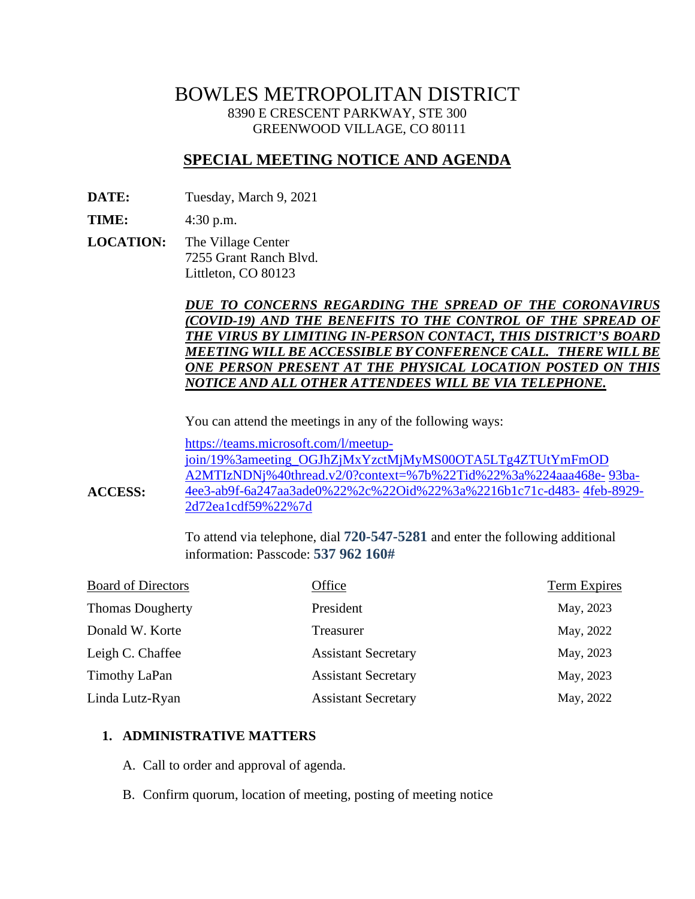# BOWLES METROPOLITAN DISTRICT 8390 E CRESCENT PARKWAY, STE 300 GREENWOOD VILLAGE, CO 80111

# **SPECIAL MEETING NOTICE AND AGENDA**

**DATE:** Tuesday, March 9, 2021

**TIME:** 4:30 p.m.

**ACCESS:**

**LOCATION:** The Village Center 7255 Grant Ranch Blvd. Littleton, CO 80123

## *DUE TO CONCERNS REGARDING THE SPREAD OF THE CORONAVIRUS (COVID-19) AND THE BENEFITS TO THE CONTROL OF THE SPREAD OF THE VIRUS BY LIMITING IN-PERSON CONTACT, THIS DISTRICT'S BOARD MEETING WILL BE ACCESSIBLE BY CONFERENCE CALL. THERE WILLBE ONE PERSON PRESENT AT THE PHYSICAL LOCATION POSTED ON THIS NOTICE AND ALL OTHER ATTENDEES WILL BE VIA TELEPHONE.*

You can attend the meetings in any of the following ways:

[https://teams.microsoft.com/l/meetup](https://teams.microsoft.com/l/meetup-join/19%3ameeting_OGJhZjMxYzctMjMyMS00OTA5LTg4ZTUtYmFmODA2MTIzNDNj%40thread.v2/0?context=%7b%22Tid%22%3a%224aaa468e-93ba-4ee3-ab9f-6a247aa3ade0%22%2c%22Oid%22%3a%2216b1c71c-d483-4feb-8929-2d72ea1cdf59%22%7d)[join/19%3ameeting\\_OGJhZjMxYzctMjMyMS00OTA5LTg4ZTUtYmFmOD](https://teams.microsoft.com/l/meetup-join/19%3ameeting_OGJhZjMxYzctMjMyMS00OTA5LTg4ZTUtYmFmODA2MTIzNDNj%40thread.v2/0?context=%7b%22Tid%22%3a%224aaa468e-93ba-4ee3-ab9f-6a247aa3ade0%22%2c%22Oid%22%3a%2216b1c71c-d483-4feb-8929-2d72ea1cdf59%22%7d) [A2MTIzNDNj%40thread.v2/0?context=%7b%22Tid%22%3a%224aaa468e-](https://teams.microsoft.com/l/meetup-join/19%3ameeting_OGJhZjMxYzctMjMyMS00OTA5LTg4ZTUtYmFmODA2MTIzNDNj%40thread.v2/0?context=%7b%22Tid%22%3a%224aaa468e-93ba-4ee3-ab9f-6a247aa3ade0%22%2c%22Oid%22%3a%2216b1c71c-d483-4feb-8929-2d72ea1cdf59%22%7d) [93ba-](https://teams.microsoft.com/l/meetup-join/19%3ameeting_OGJhZjMxYzctMjMyMS00OTA5LTg4ZTUtYmFmODA2MTIzNDNj%40thread.v2/0?context=%7b%22Tid%22%3a%224aaa468e-93ba-4ee3-ab9f-6a247aa3ade0%22%2c%22Oid%22%3a%2216b1c71c-d483-4feb-8929-2d72ea1cdf59%22%7d)[4ee3-ab9f-6a247aa3ade0%22%2c%22Oid%22%3a%2216b1c71c-d483-](https://teams.microsoft.com/l/meetup-join/19%3ameeting_OGJhZjMxYzctMjMyMS00OTA5LTg4ZTUtYmFmODA2MTIzNDNj%40thread.v2/0?context=%7b%22Tid%22%3a%224aaa468e-93ba-4ee3-ab9f-6a247aa3ade0%22%2c%22Oid%22%3a%2216b1c71c-d483-4feb-8929-2d72ea1cdf59%22%7d) [4feb-8929-](https://teams.microsoft.com/l/meetup-join/19%3ameeting_OGJhZjMxYzctMjMyMS00OTA5LTg4ZTUtYmFmODA2MTIzNDNj%40thread.v2/0?context=%7b%22Tid%22%3a%224aaa468e-93ba-4ee3-ab9f-6a247aa3ade0%22%2c%22Oid%22%3a%2216b1c71c-d483-4feb-8929-2d72ea1cdf59%22%7d) [2d72ea1cdf59%22%7d](https://teams.microsoft.com/l/meetup-join/19%3ameeting_OGJhZjMxYzctMjMyMS00OTA5LTg4ZTUtYmFmODA2MTIzNDNj%40thread.v2/0?context=%7b%22Tid%22%3a%224aaa468e-93ba-4ee3-ab9f-6a247aa3ade0%22%2c%22Oid%22%3a%2216b1c71c-d483-4feb-8929-2d72ea1cdf59%22%7d)

To attend via telephone, dial **720-547-5281** and enter the following additional information: Passcode: **537 962 160#**

| <b>Board of Directors</b> | Office                     | <b>Term Expires</b> |
|---------------------------|----------------------------|---------------------|
| <b>Thomas Dougherty</b>   | President                  | May, 2023           |
| Donald W. Korte           | Treasurer                  | May, 2022           |
| Leigh C. Chaffee          | <b>Assistant Secretary</b> | May, 2023           |
| Timothy LaPan             | <b>Assistant Secretary</b> | May, 2023           |
| Linda Lutz-Ryan           | <b>Assistant Secretary</b> | May, 2022           |

#### **1. ADMINISTRATIVE MATTERS**

- A. Call to order and approval of agenda.
- B. Confirm quorum, location of meeting, posting of meeting notice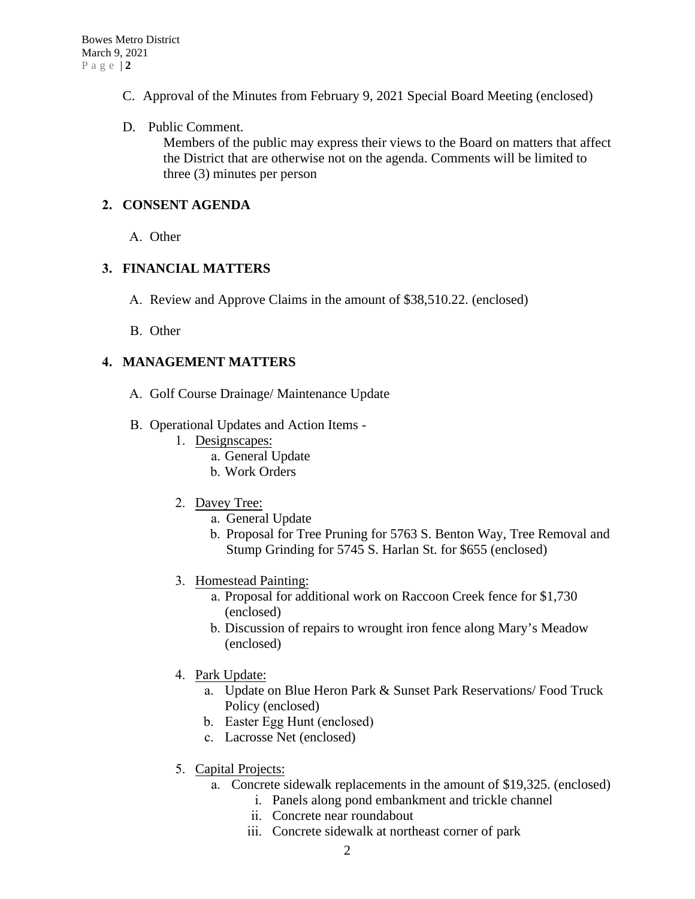- C. Approval of the Minutes from February 9, 2021 Special Board Meeting (enclosed)
- D. Public Comment.

Members of the public may express their views to the Board on matters that affect the District that are otherwise not on the agenda. Comments will be limited to three (3) minutes per person

## **2. CONSENT AGENDA**

A. Other

## **3. FINANCIAL MATTERS**

- A. Review and Approve Claims in the amount of \$38,510.22. (enclosed)
- B. Other

# **4. MANAGEMENT MATTERS**

- A. Golf Course Drainage/ Maintenance Update
- B. Operational Updates and Action Items
	- 1. Designscapes:
		- a. General Update
		- b. Work Orders
	- 2. Davey Tree:
		- a. General Update
		- b. Proposal for Tree Pruning for 5763 S. Benton Way, Tree Removal and Stump Grinding for 5745 S. Harlan St. for \$655 (enclosed)
	- 3. Homestead Painting:
		- a. Proposal for additional work on Raccoon Creek fence for \$1,730 (enclosed)
		- b. Discussion of repairs to wrought iron fence along Mary's Meadow (enclosed)
	- 4. Park Update:
		- a. Update on Blue Heron Park & Sunset Park Reservations/ Food Truck Policy (enclosed)
		- b. Easter Egg Hunt (enclosed)
		- c. Lacrosse Net (enclosed)
	- 5. Capital Projects:
		- a. Concrete sidewalk replacements in the amount of \$19,325. (enclosed)
			- i. Panels along pond embankment and trickle channel
			- ii. Concrete near roundabout
			- iii. Concrete sidewalk at northeast corner of park